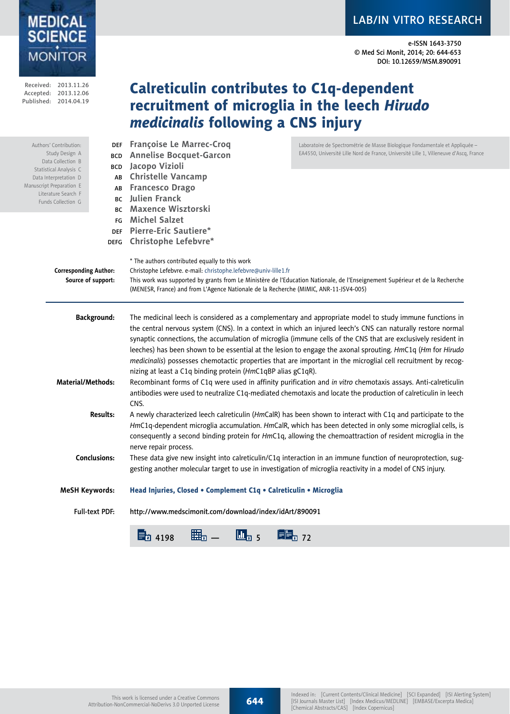# LAB/IN VITRO RESEARCH

e-ISSN 1643-3750 © Med Sci Monit, 2014; 20: 644-653 DOI: 10.12659/MSM.890091

### Published: 2014.04.19 recruitment of microglia in the leech *Hirudo medicinalis* following a CNS injury DEF **Françoise Le Marrec-Croq** BCD **Annelise Bocquet-Garcon** BCD **Jacopo Vizioli** AB **Christelle Vancamp** AB **Francesco Drago** BC **Julien Franck** BC **Maxence Wisztorski** FG **Michel Salzet** DEF **Pierre-Eric Sautiere\*** DEFG **Christophe Lefebvre\*** \* The authors contributed equally to this work **Corresponding Author:** Christophe Lefebvre. e-mail: christophe.lefebvre@univ-lille1.fr **Source of support:** This work was supported by grants from Le Ministère de l'Education Nationale, de l'Enseignement Supérieur et de la Recherche (MENESR, France) and from L'Agence Nationale de la Recherche (MIMIC, ANR-11-JSV4-005) **Background:** The medicinal leech is considered as a complementary and appropriate model to study immune functions in the central nervous system (CNS). In a context in which an injured leech's CNS can naturally restore normal synaptic connections, the accumulation of microglia (immune cells of the CNS that are exclusively resident in leeches) has been shown to be essential at the lesion to engage the axonal sprouting. *Hm*C1q (*Hm* for *Hirudo medicinalis*) possesses chemotactic properties that are important in the microglial cell recruitment by recognizing at least a C1q binding protein (*Hm*C1qBP alias gC1qR). **Material/Methods:** Recombinant forms of C1q were used in affinity purification and *in vitro* chemotaxis assays. Anti-calreticulin antibodies were used to neutralize C1q-mediated chemotaxis and locate the production of calreticulin in leech **CNS Results:** A newly characterized leech calreticulin (*Hm*CalR) has been shown to interact with C1q and participate to the *Hm*C1q-dependent microglia accumulation. *Hm*CalR, which has been detected in only some microglial cells, is consequently a second binding protein for *Hm*C1q, allowing the chemoattraction of resident microglia in the nerve repair process. **Conclusions:** These data give new insight into calreticulin/C1q interaction in an immune function of neuroprotection, suggesting another molecular target to use in investigation of microglia reactivity in a model of CNS injury. **MeSH Keywords:** Head Injuries, Closed • Complement C1q • Calreticulin • Microglia Full-text PDF: http://www.medscimonit.com/download/index/idArt/890091 Authors' Contribution: Study Design A Data Collection B Statistical Analysis C Data Interpretation D Manuscript Preparation E Literature Search F Funds Collection G Laboratoire de Spectrométrie de Masse Biologique Fondamentale et Appliquée – EA4550, Université Lille Nord de France, Université Lille 1, Villeneuve d'Ascq, France

Calreticulin contributes to C1q-dependent



Received: 2013.11.26 Accepted: 2013.12.06

**MONITOR** 

**MEDICAL SCIENCE**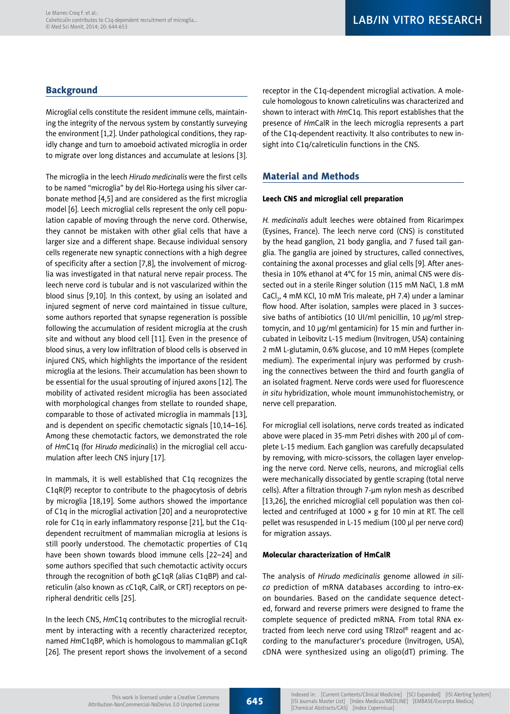# **Background**

Microglial cells constitute the resident immune cells, maintaining the integrity of the nervous system by constantly surveying the environment [1,2]. Under pathological conditions, they rapidly change and turn to amoeboid activated microglia in order to migrate over long distances and accumulate at lesions [3].

The microglia in the leech *Hirudo medicinalis* were the first cells to be named "microglia" by del Rio-Hortega using his silver carbonate method [4,5] and are considered as the first microglia model [6]. Leech microglial cells represent the only cell population capable of moving through the nerve cord. Otherwise, they cannot be mistaken with other glial cells that have a larger size and a different shape. Because individual sensory cells regenerate new synaptic connections with a high degree of specificity after a section [7,8], the involvement of microglia was investigated in that natural nerve repair process. The leech nerve cord is tubular and is not vascularized within the blood sinus [9,10]. In this context, by using an isolated and injured segment of nerve cord maintained in tissue culture, some authors reported that synapse regeneration is possible following the accumulation of resident microglia at the crush site and without any blood cell [11]. Even in the presence of blood sinus, a very low infiltration of blood cells is observed in injured CNS, which highlights the importance of the resident microglia at the lesions. Their accumulation has been shown to be essential for the usual sprouting of injured axons [12]. The mobility of activated resident microglia has been associated with morphological changes from stellate to rounded shape, comparable to those of activated microglia in mammals [13], and is dependent on specific chemotactic signals [10,14–16]. Among these chemotactic factors, we demonstrated the role of *Hm*C1q (for *Hirudo medicinalis*) in the microglial cell accumulation after leech CNS injury [17].

In mammals, it is well established that C1q recognizes the C1qR(P) receptor to contribute to the phagocytosis of debris by microglia [18,19]. Some authors showed the importance of C1q in the microglial activation [20] and a neuroprotective role for C1q in early inflammatory response [21], but the C1qdependent recruitment of mammalian microglia at lesions is still poorly understood. The chemotactic properties of C1q have been shown towards blood immune cells [22–24] and some authors specified that such chemotactic activity occurs through the recognition of both gC1qR (alias C1qBP) and calreticulin (also known as cC1qR, CalR, or CRT) receptors on peripheral dendritic cells [25].

In the leech CNS, *Hm*C1q contributes to the microglial recruitment by interacting with a recently characterized receptor, named *Hm*C1qBP, which is homologous to mammalian gC1qR [26]. The present report shows the involvement of a second receptor in the C1q-dependent microglial activation. A molecule homologous to known calreticulins was characterized and shown to interact with *Hm*C1q. This report establishes that the presence of *Hm*CalR in the leech microglia represents a part of the C1q-dependent reactivity. It also contributes to new insight into C1q/calreticulin functions in the CNS.

# Material and Methods

#### Leech CNS and microglial cell preparation

*H. medicinalis* adult leeches were obtained from Ricarimpex (Eysines, France). The leech nerve cord (CNS) is constituted by the head ganglion, 21 body ganglia, and 7 fused tail ganglia. The ganglia are joined by structures, called connectives, containing the axonal processes and glial cells [9]. After anesthesia in 10% ethanol at 4°C for 15 min, animal CNS were dissected out in a sterile Ringer solution (115 mM NaCl, 1.8 mM CaCl<sub>2</sub>, 4 mM KCl, 10 mM Tris maleate, pH 7.4) under a laminar flow hood. After isolation, samples were placed in 3 successive baths of antibiotics (10 UI/ml penicillin, 10 µg/ml streptomycin, and 10 µg/ml gentamicin) for 15 min and further incubated in Leibovitz L-15 medium (Invitrogen, USA) containing 2 mM L-glutamin, 0.6% glucose, and 10 mM Hepes (complete medium). The experimental injury was performed by crushing the connectives between the third and fourth ganglia of an isolated fragment. Nerve cords were used for fluorescence *in situ* hybridization, whole mount immunohistochemistry, or nerve cell preparation.

For microglial cell isolations, nerve cords treated as indicated above were placed in 35-mm Petri dishes with 200 µl of complete L-15 medium. Each ganglion was carefully decapsulated by removing, with micro-scissors, the collagen layer enveloping the nerve cord. Nerve cells, neurons, and microglial cells were mechanically dissociated by gentle scraping (total nerve cells). After a filtration through 7-µm nylon mesh as described [13,26], the enriched microglial cell population was then collected and centrifuged at 1000 × g for 10 min at RT. The cell pellet was resuspended in L-15 medium (100 µl per nerve cord) for migration assays.

### Molecular characterization of HmCalR

The analysis of *Hirudo medicinalis* genome allowed *in silico* prediction of mRNA databases according to intro-exon boundaries. Based on the candidate sequence detected, forward and reverse primers were designed to frame the complete sequence of predicted mRNA. From total RNA extracted from leech nerve cord using TRIzol® reagent and according to the manufacturer's procedure (Invitrogen, USA), cDNA were synthesized using an oligo(dT) priming. The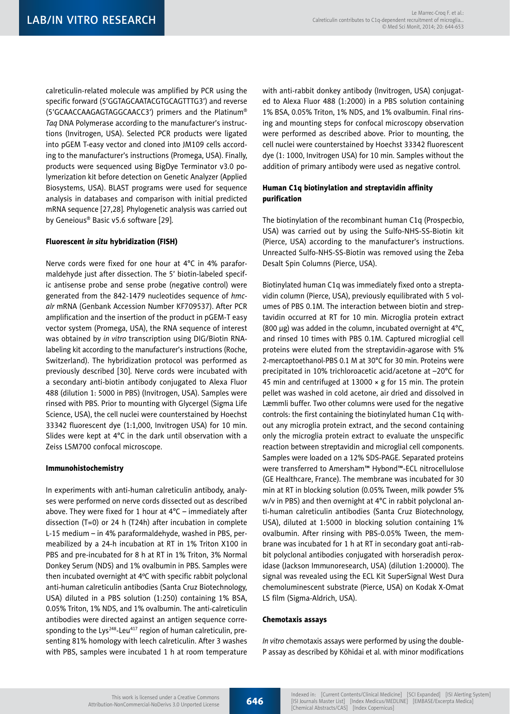calreticulin-related molecule was amplified by PCR using the specific forward (5'GGTAGCAATACGTGCAGTTTG3') and reverse (5'GCAACCAAGAGTAGGCAACC3') primers and the Platinum® *Taq* DNA Polymerase according to the manufacturer's instructions (Invitrogen, USA). Selected PCR products were ligated into pGEM T-easy vector and cloned into JM109 cells according to the manufacturer's instructions (Promega, USA). Finally, products were sequenced using BigDye Terminator v3.0 polymerization kit before detection on Genetic Analyzer (Applied Biosystems, USA). BLAST programs were used for sequence analysis in databases and comparison with initial predicted mRNA sequence [27,28]. Phylogenetic analysis was carried out by Geneious® Basic v5.6 software [29].

### Fluorescent *in situ* hybridization (FISH)

Nerve cords were fixed for one hour at 4°C in 4% paraformaldehyde just after dissection. The 5' biotin-labeled specific antisense probe and sense probe (negative control) were generated from the 842-1479 nucleotides sequence of *hmcalr* mRNA (Genbank Accession Number KF709537). After PCR amplification and the insertion of the product in pGEM-T easy vector system (Promega, USA), the RNA sequence of interest was obtained by *in vitro* transcription using DIG/Biotin RNAlabeling kit according to the manufacturer's instructions (Roche, Switzerland). The hybridization protocol was performed as previously described [30]. Nerve cords were incubated with a secondary anti-biotin antibody conjugated to Alexa Fluor 488 (dilution 1: 5000 in PBS) (Invitrogen, USA). Samples were rinsed with PBS. Prior to mounting with Glycergel (Sigma Life Science, USA), the cell nuclei were counterstained by Hoechst 33342 fluorescent dye (1:1,000, Invitrogen USA) for 10 min. Slides were kept at 4°C in the dark until observation with a Zeiss LSM700 confocal microscope.

#### Immunohistochemistry

In experiments with anti-human calreticulin antibody, analyses were performed on nerve cords dissected out as described above. They were fixed for 1 hour at  $4^{\circ}$ C – immediately after dissection (T=0) or 24 h (T24h) after incubation in complete L-15 medium – in 4% paraformaldehyde, washed in PBS, permeabilized by a 24-h incubation at RT in 1% Triton X100 in PBS and pre-incubated for 8 h at RT in 1% Triton, 3% Normal Donkey Serum (NDS) and 1% ovalbumin in PBS. Samples were then incubated overnight at 4ºC with specific rabbit polyclonal anti-human calreticulin antibodies (Santa Cruz Biotechnology, USA) diluted in a PBS solution (1:250) containing 1% BSA, 0.05% Triton, 1% NDS, and 1% ovalbumin. The anti-calreticulin antibodies were directed against an antigen sequence corresponding to the Lys<sup>248</sup>-Leu<sup>417</sup> region of human calreticulin, presenting 81% homology with leech calreticulin. After 3 washes with PBS, samples were incubated 1 h at room temperature with anti-rabbit donkey antibody (Invitrogen, USA) conjugated to Alexa Fluor 488 (1:2000) in a PBS solution containing 1% BSA, 0.05% Triton, 1% NDS, and 1% ovalbumin. Final rinsing and mounting steps for confocal microscopy observation were performed as described above. Prior to mounting, the cell nuclei were counterstained by Hoechst 33342 fluorescent dye (1: 1000, Invitrogen USA) for 10 min. Samples without the addition of primary antibody were used as negative control.

### Human C1q biotinylation and streptavidin affinity purification

The biotinylation of the recombinant human C1q (Prospecbio, USA) was carried out by using the Sulfo-NHS-SS-Biotin kit (Pierce, USA) according to the manufacturer's instructions. Unreacted Sulfo-NHS-SS-Biotin was removed using the Zeba Desalt Spin Columns (Pierce, USA).

Biotinylated human C1q was immediately fixed onto a streptavidin column (Pierce, USA), previously equilibrated with 5 volumes of PBS 0.1M. The interaction between biotin and streptavidin occurred at RT for 10 min. Microglia protein extract (800 µg) was added in the column, incubated overnight at 4°C, and rinsed 10 times with PBS 0.1M. Captured microglial cell proteins were eluted from the streptavidin-agarose with 5% 2-mercaptoethanol-PBS 0.1 M at 30°C for 30 min. Proteins were precipitated in 10% trichloroacetic acid/acetone at –20°C for 45 min and centrifuged at 13000 × g for 15 min. The protein pellet was washed in cold acetone, air dried and dissolved in Læmmli buffer. Two other columns were used for the negative controls: the first containing the biotinylated human C1q without any microglia protein extract, and the second containing only the microglia protein extract to evaluate the unspecific reaction between streptavidin and microglial cell components. Samples were loaded on a 12% SDS-PAGE. Separated proteins were transferred to Amersham™ Hybond™-ECL nitrocellulose (GE Healthcare, France). The membrane was incubated for 30 min at RT in blocking solution (0.05% Tween, milk powder 5% w/v in PBS) and then overnight at 4°C in rabbit polyclonal anti-human calreticulin antibodies (Santa Cruz Biotechnology, USA), diluted at 1:5000 in blocking solution containing 1% ovalbumin. After rinsing with PBS-0.05% Tween, the membrane was incubated for 1 h at RT in secondary goat anti-rabbit polyclonal antibodies conjugated with horseradish peroxidase (Jackson Immunoresearch, USA) (dilution 1:20000). The signal was revealed using the ECL Kit SuperSignal West Dura chemoluminescent substrate (Pierce, USA) on Kodak X-Omat LS film (Sigma-Aldrich, USA).

#### Chemotaxis assays

*In vitro* chemotaxis assays were performed by using the double-P assay as described by Köhidai et al. with minor modifications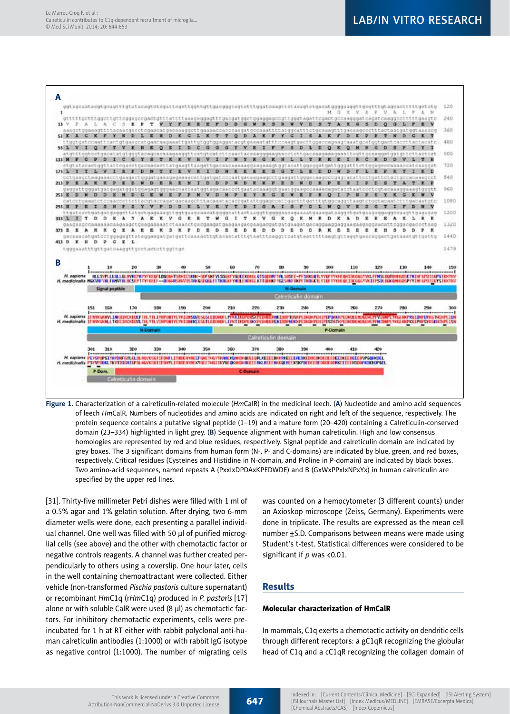

**Figure 1.** Characterization of a calreticulin-related molecule (*Hm*CalR) in the medicinal leech. (**A**) Nucleotide and amino acid sequences of leech *Hm*CalR. Numbers of nucleotides and amino acids are indicated on right and left of the sequence, respectively. The protein sequence contains a putative signal peptide (1–19) and a mature form (20–420) containing a Calreticulin-conserved domain (23–334) highlighted in light grey. (**B**) Sequence alignment with human calreticulin. High and low consensus homologies are represented by red and blue residues, respectively. Signal peptide and calreticulin domain are indicated by grey boxes. The 3 significant domains from human form (N-, P- and C-domains) are indicated by blue, green, and red boxes, respectively. Critical residues (Cysteines and Histidine in N-domain, and Proline in P-domain) are indicated by black boxes. Two amino-acid sequences, named repeats A (PxxIxDPDAxKPEDWDE) and B (GxWxPPxIxNPxYx) in human calreticulin are specified by the upper red lines.

[31]. Thirty-five millimeter Petri dishes were filled with 1 ml of a 0.5% agar and 1% gelatin solution. After drying, two 6-mm diameter wells were done, each presenting a parallel individual channel. One well was filled with 50 µl of purified microglial cells (see above) and the other with chemotactic factor or negative controls reagents. A channel was further created perpendicularly to others using a coverslip. One hour later, cells in the well containing chemoattractant were collected. Either vehicle (non-transformed *Pischia pastoris* culture supernatant) or recombinant *Hm*C1q (r*Hm*C1q) produced in *P. pastoris* [17] alone or with soluble CalR were used (8 µl) as chemotactic factors. For inhibitory chemotactic experiments, cells were preincubated for 1 h at RT either with rabbit polyclonal anti-human calreticulin antibodies (1:1000) or with rabbit IgG isotype as negative control (1:1000). The number of migrating cells

was counted on a hemocytometer (3 different counts) under an Axioskop microscope (Zeiss, Germany). Experiments were done in triplicate. The results are expressed as the mean cell number ±S.D. Comparisons between means were made using Student's t-test. Statistical differences were considered to be significant if *p* was <0.01.

### Results

### Molecular characterization of HmCalR

In mammals, C1q exerts a chemotactic activity on dendritic cells through different receptors: a gC1qR recognizing the globular head of C1q and a cC1qR recognizing the collagen domain of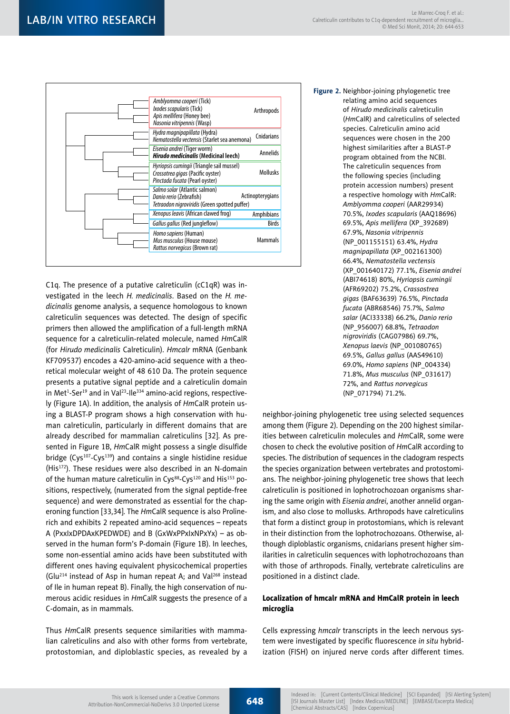

C1q. The presence of a putative calreticulin (cC1qR) was investigated in the leech *H. medicinalis*. Based on the *H. medicinalis* genome analysis, a sequence homologous to known calreticulin sequences was detected. The design of specific primers then allowed the amplification of a full-length mRNA sequence for a calreticulin-related molecule, named *Hm*CalR (for *Hirudo medicinalis* Calreticulin). *Hmcalr* mRNA (Genbank KF709537) encodes a 420-amino-acid sequence with a theoretical molecular weight of 48 610 Da. The protein sequence presents a putative signal peptide and a calreticulin domain in Met<sup>1</sup>-Ser<sup>19</sup> and in Val<sup>23</sup>-Ile<sup>334</sup> amino-acid regions, respectively (Figure 1A). In addition, the analysis of *Hm*CalR protein using a BLAST-P program shows a high conservation with human calreticulin, particularly in different domains that are already described for mammalian calreticulins [32]. As presented in Figure 1B, *Hm*CalR might possess a single disulfide bridge (Cys<sup>107</sup>-Cys<sup>139</sup>) and contains a single histidine residue (His172). These residues were also described in an N-domain of the human mature calreticulin in Cys<sup>88</sup>-Cys<sup>120</sup> and His<sup>153</sup> positions, respectively, (numerated from the signal peptide-free sequence) and were demonstrated as essential for the chaperoning function [33,34]. The *Hm*CalR sequence is also Prolinerich and exhibits 2 repeated amino-acid sequences – repeats A (PxxIxDPDAxKPEDWDE) and B (GxWxPPxIxNPxYx) – as observed in the human form's P-domain (Figure 1B). In leeches, some non-essential amino acids have been substituted with different ones having equivalent physicochemical properties (Glu214 instead of Asp in human repeat A; and Val268 instead of Ile in human repeat B). Finally, the high conservation of numerous acidic residues in *Hm*CalR suggests the presence of a C-domain, as in mammals.

Thus *Hm*CalR presents sequence similarities with mammalian calreticulins and also with other forms from vertebrate, protostomian, and diploblastic species, as revealed by a

#### **Figure 2.** Neighbor-joining phylogenetic tree relating amino acid sequences of *Hirudo medicinalis* calreticulin (*Hm*CalR) and calreticulins of selected species. Calreticulin amino acid sequences were chosen in the 200 highest similarities after a BLAST-P program obtained from the NCBI. The calreticulin sequences from the following species (including protein accession numbers) present a respective homology with *Hm*CalR: *Amblyomma cooperi* (AAR29934) 70.5%, *Ixodes scapularis* (AAQ18696) 69.5%, *Apis mellifera* (XP\_392689) 67.9%, *Nasonia vitripennis* (NP\_001155151) 63.4%, *Hydra magnipapillata* (XP\_002161300) 66.4%, *Nematostella vectensis* (XP\_001640172) 77.1%, *Eisenia andrei* (ABI74618) 80%, *Hyriopsis cumingii* (AFR69202) 75.2%, *Crassostrea gigas* (BAF63639) 76.5%, *Pinctada fucata* (ABR68546) 75.7%, *Salmo salar* (ACI33338) 66.2%, *Danio rerio* (NP\_956007) 68.8%, *Tetraodon nigroviridis* (CAG07986) 69.7%, *Xenopus laevis* (NP\_001080765) 69.5%, *Gallus gallus* (AAS49610) 69.0%, *Homo sapiens* (NP\_004334) 71.8%, *Mus musculus* (NP\_031617) 72%, and *Rattus norvegicus* (NP\_071794) 71.2%.

neighbor-joining phylogenetic tree using selected sequences among them (Figure 2). Depending on the 200 highest similarities between calreticulin molecules and *Hm*CalR, some were chosen to check the evolutive position of *Hm*CalR according to species. The distribution of sequences in the cladogram respects the species organization between vertebrates and protostomians. The neighbor-joining phylogenetic tree shows that leech calreticulin is positioned in lophotrochozoan organisms sharing the same origin with *Eisenia andrei*, another annelid organism, and also close to mollusks. Arthropods have calreticulins that form a distinct group in protostomians, which is relevant in their distinction from the lophotrochozoans. Otherwise, although diploblastic organisms, cnidarians present higher similarities in calreticulin sequences with lophotrochozoans than with those of arthropods. Finally, vertebrate calreticulins are positioned in a distinct clade.

### Localization of hmcalr mRNA and HmCalR protein in leech microglia

Cells expressing *hmcalr* transcripts in the leech nervous system were investigated by specific fluorescence *in situ* hybridization (FISH) on injured nerve cords after different times.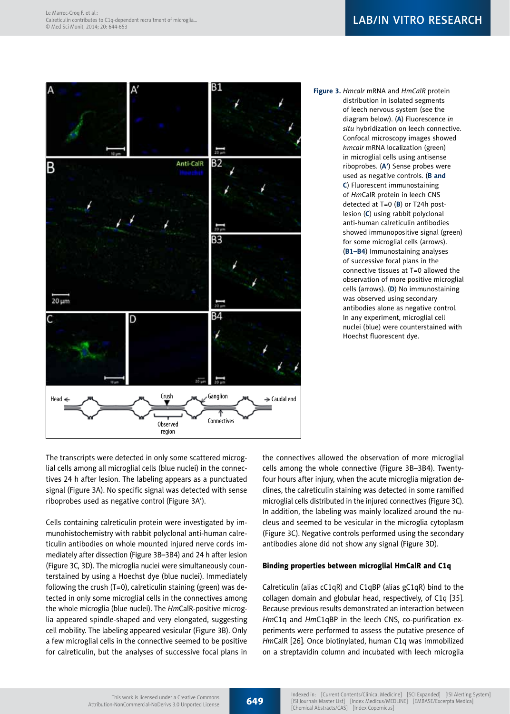

**Figure 3.** *Hmcalr* mRNA and *HmCalR* protein distribution in isolated segments of leech nervous system (see the diagram below). (**A**) Fluorescence *in situ* hybridization on leech connective. Confocal microscopy images showed *hmcalr* mRNA localization (green) in microglial cells using antisense riboprobes. (**A'**) Sense probes were used as negative controls. (**B and C**) Fluorescent immunostaining of *Hm*CalR protein in leech CNS detected at T=0 (**B**) or T24h postlesion (**C**) using rabbit polyclonal anti-human calreticulin antibodies showed immunopositive signal (green) for some microglial cells (arrows). (**B1–B4**) Immunostaining analyses of successive focal plans in the connective tissues at T=0 allowed the observation of more positive microglial cells (arrows). (**D**) No immunostaining was observed using secondary antibodies alone as negative control. In any experiment, microglial cell nuclei (blue) were counterstained with Hoechst fluorescent dye.

The transcripts were detected in only some scattered microglial cells among all microglial cells (blue nuclei) in the connectives 24 h after lesion. The labeling appears as a punctuated signal (Figure 3A). No specific signal was detected with sense riboprobes used as negative control (Figure 3A').

Cells containing calreticulin protein were investigated by immunohistochemistry with rabbit polyclonal anti-human calreticulin antibodies on whole mounted injured nerve cords immediately after dissection (Figure 3B–3B4) and 24 h after lesion (Figure 3C, 3D). The microglia nuclei were simultaneously counterstained by using a Hoechst dye (blue nuclei). Immediately following the crush (T=0), calreticulin staining (green) was detected in only some microglial cells in the connectives among the whole microglia (blue nuclei). The *Hm*CalR-positive microglia appeared spindle-shaped and very elongated, suggesting cell mobility. The labeling appeared vesicular (Figure 3B). Only a few microglial cells in the connective seemed to be positive for calreticulin, but the analyses of successive focal plans in the connectives allowed the observation of more microglial cells among the whole connective (Figure 3B–3B4). Twentyfour hours after injury, when the acute microglia migration declines, the calreticulin staining was detected in some ramified microglial cells distributed in the injured connectives (Figure 3C). In addition, the labeling was mainly localized around the nucleus and seemed to be vesicular in the microglia cytoplasm (Figure 3C). Negative controls performed using the secondary antibodies alone did not show any signal (Figure 3D).

### Binding properties between microglial HmCalR and C1q

Calreticulin (alias cC1qR) and C1qBP (alias gC1qR) bind to the collagen domain and globular head, respectively, of C1q [35]. Because previous results demonstrated an interaction between *Hm*C1q and *Hm*C1qBP in the leech CNS, co-purification experiments were performed to assess the putative presence of *Hm*CalR [26]. Once biotinylated, human C1q was immobilized on a streptavidin column and incubated with leech microglia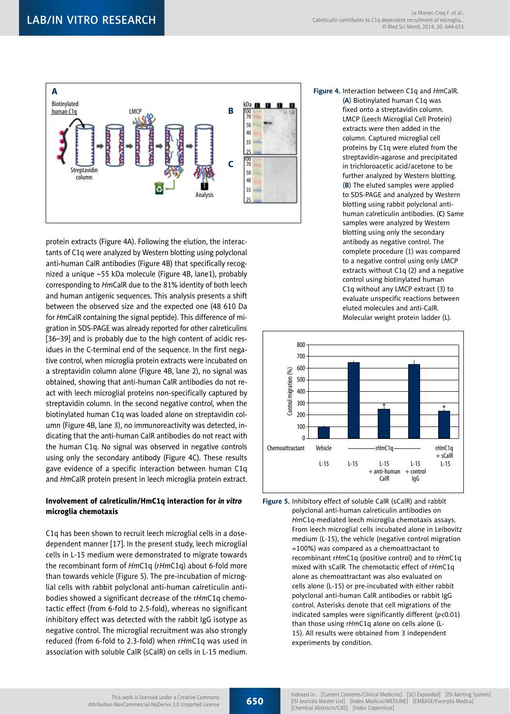

protein extracts (Figure 4A). Following the elution, the interactants of C1q were analyzed by Western blotting using polyclonal anti-human CalR antibodies (Figure 4B) that specifically recognized a unique ~55 kDa molecule (Figure 4B, lane1), probably corresponding to *Hm*CalR due to the 81% identity of both leech and human antigenic sequences. This analysis presents a shift between the observed size and the expected one (48 610 Da for *Hm*CalR containing the signal peptide). This difference of migration in SDS-PAGE was already reported for other calreticulins [36-39] and is probably due to the high content of acidic residues in the C-terminal end of the sequence. In the first negative control, when microglia protein extracts were incubated on a streptavidin column alone (Figure 4B, lane 2), no signal was obtained, showing that anti-human CalR antibodies do not react with leech microglial proteins non-specifically captured by streptavidin column. In the second negative control, when the biotinylated human C1q was loaded alone on streptavidin column (Figure 4B, lane 3), no immunoreactivity was detected, indicating that the anti-human CalR antibodies do not react with the human C1q. No signal was observed in negative controls using only the secondary antibody (Figure 4C). These results gave evidence of a specific interaction between human C1q and *Hm*CalR protein present in leech microglia protein extract.

### Involvement of calreticulin/HmC1q interaction for *in vitro* microglia chemotaxis

C1q has been shown to recruit leech microglial cells in a dosedependent manner [17]. In the present study, leech microglial cells in L-15 medium were demonstrated to migrate towards the recombinant form of *Hm*C1q (r*Hm*C1q) about 6-fold more than towards vehicle (Figure 5). The pre-incubation of microglial cells with rabbit polyclonal anti-human calreticulin antibodies showed a significant decrease of the r*Hm*C1q chemotactic effect (from 6-fold to 2.5-fold), whereas no significant inhibitory effect was detected with the rabbit IgG isotype as negative control. The microglial recruitment was also strongly reduced (from 6-fold to 2.3-fold) when r*Hm*C1q was used in association with soluble CalR (sCalR) on cells in L-15 medium.

**Figure 4.** Interaction between C1q and *Hm*CalR. (**A**) Biotinylated human C1q was fixed onto a streptavidin column. LMCP (Leech Microglial Cell Protein) extracts were then added in the column. Captured microglial cell proteins by C1q were eluted from the streptavidin-agarose and precipitated in trichloroacetic acid/acetone to be further analyzed by Western blotting. (**B**) The eluted samples were applied to SDS-PAGE and analyzed by Western blotting using rabbit polyclonal antihuman calreticulin antibodies. (**C**) Same samples were analyzed by Western blotting using only the secondary antibody as negative control. The complete procedure (1) was compared to a negative control using only LMCP extracts without C1q (2) and a negative control using biotinylated human C1q without any LMCP extract (3) to evaluate unspecific reactions between eluted molecules and anti-CalR. Molecular weight protein ladder (L).



**Figure 5.** Inhibitory effect of soluble CalR (sCalR) and rabbit polyclonal anti-human calreticulin antibodies on *Hm*C1q-mediated leech microglia chemotaxis assays. From leech microglial cells incubated alone in Leibovitz medium (L-15), the vehicle (negative control migration =100%) was compared as a chemoattractant to recombinant r*Hm*C1q (positive control) and to r*Hm*C1q mixed with sCalR. The chemotactic effect of r*Hm*C1q alone as chemoattractant was also evaluated on cells alone (L-15) or pre-incubated with either rabbit polyclonal anti-human CalR antibodies or rabbit IgG control. Asterisks denote that cell migrations of the indicated samples were significantly different (*p*<0.01) than those using r*Hm*C1q alone on cells alone (L-15). All results were obtained from 3 independent experiments by condition.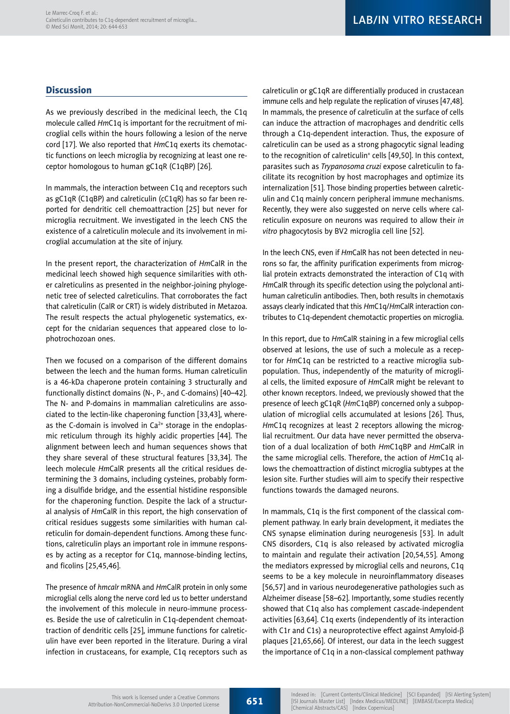# **Discussion**

As we previously described in the medicinal leech, the C1q molecule called *Hm*C1q is important for the recruitment of microglial cells within the hours following a lesion of the nerve cord [17]. We also reported that *Hm*C1q exerts its chemotactic functions on leech microglia by recognizing at least one receptor homologous to human gC1qR (C1qBP) [26].

In mammals, the interaction between C1q and receptors such as gC1qR (C1qBP) and calreticulin (cC1qR) has so far been reported for dendritic cell chemoattraction [25] but never for microglia recruitment. We investigated in the leech CNS the existence of a calreticulin molecule and its involvement in microglial accumulation at the site of injury.

In the present report, the characterization of *Hm*CalR in the medicinal leech showed high sequence similarities with other calreticulins as presented in the neighbor-joining phylogenetic tree of selected calreticulins. That corroborates the fact that calreticulin (CalR or CRT) is widely distributed in Metazoa. The result respects the actual phylogenetic systematics, except for the cnidarian sequences that appeared close to lophotrochozoan ones.

Then we focused on a comparison of the different domains between the leech and the human forms. Human calreticulin is a 46-kDa chaperone protein containing 3 structurally and functionally distinct domains (N-, P-, and C-domains) [40–42]. The N- and P-domains in mammalian calreticulins are associated to the lectin-like chaperoning function [33,43], whereas the C-domain is involved in  $Ca<sup>2+</sup>$  storage in the endoplasmic reticulum through its highly acidic properties [44]. The alignment between leech and human sequences shows that they share several of these structural features [33,34]. The leech molecule *Hm*CalR presents all the critical residues determining the 3 domains, including cysteines, probably forming a disulfide bridge, and the essential histidine responsible for the chaperoning function. Despite the lack of a structural analysis of *Hm*CalR in this report, the high conservation of critical residues suggests some similarities with human calreticulin for domain-dependent functions. Among these functions, calreticulin plays an important role in immune responses by acting as a receptor for C1q, mannose-binding lectins, and ficolins [25,45,46].

The presence of *hmcalr* mRNA and *Hm*CalR protein in only some microglial cells along the nerve cord led us to better understand the involvement of this molecule in neuro-immune processes. Beside the use of calreticulin in C1q-dependent chemoattraction of dendritic cells [25], immune functions for calreticulin have ever been reported in the literature. During a viral infection in crustaceans, for example, C1q receptors such as calreticulin or gC1qR are differentially produced in crustacean immune cells and help regulate the replication of viruses [47,48]. In mammals, the presence of calreticulin at the surface of cells can induce the attraction of macrophages and dendritic cells through a C1q-dependent interaction. Thus, the exposure of calreticulin can be used as a strong phagocytic signal leading to the recognition of calreticulin<sup>+</sup> cells [49,50]. In this context, parasites such as *Trypanosoma cruzi* expose calreticulin to facilitate its recognition by host macrophages and optimize its internalization [51]. Those binding properties between calreticulin and C1q mainly concern peripheral immune mechanisms. Recently, they were also suggested on nerve cells where calreticulin exposure on neurons was required to allow their *in vitro* phagocytosis by BV2 microglia cell line [52].

In the leech CNS, even if *Hm*CalR has not been detected in neurons so far, the affinity purification experiments from microglial protein extracts demonstrated the interaction of C1q with *Hm*CalR through its specific detection using the polyclonal antihuman calreticulin antibodies. Then, both results in chemotaxis assays clearly indicated that this *Hm*C1q/*Hm*CalR interaction contributes to C1q-dependent chemotactic properties on microglia.

In this report, due to *Hm*CalR staining in a few microglial cells observed at lesions, the use of such a molecule as a receptor for *Hm*C1q can be restricted to a reactive microglia subpopulation. Thus, independently of the maturity of microglial cells, the limited exposure of *Hm*CalR might be relevant to other known receptors. Indeed, we previously showed that the presence of leech gC1qR (*Hm*C1qBP) concerned only a subpopulation of microglial cells accumulated at lesions [26]. Thus, *Hm*C1q recognizes at least 2 receptors allowing the microglial recruitment. Our data have never permitted the observation of a dual localization of both *Hm*C1qBP and *Hm*CalR in the same microglial cells. Therefore, the action of *Hm*C1q allows the chemoattraction of distinct microglia subtypes at the lesion site. Further studies will aim to specify their respective functions towards the damaged neurons.

In mammals, C1q is the first component of the classical complement pathway. In early brain development, it mediates the CNS synapse elimination during neurogenesis [53]. In adult CNS disorders, C1q is also released by activated microglia to maintain and regulate their activation [20,54,55]. Among the mediators expressed by microglial cells and neurons, C1q seems to be a key molecule in neuroinflammatory diseases [56,57] and in various neurodegenerative pathologies such as Alzheimer disease [58–62]. Importantly, some studies recently showed that C1q also has complement cascade-independent activities [63,64]. C1q exerts (independently of its interaction with C1r and C1s) a neuroprotective effect against Amyloid- $\beta$ plaques [21,65,66]. Of interest, our data in the leech suggest the importance of C1q in a non-classical complement pathway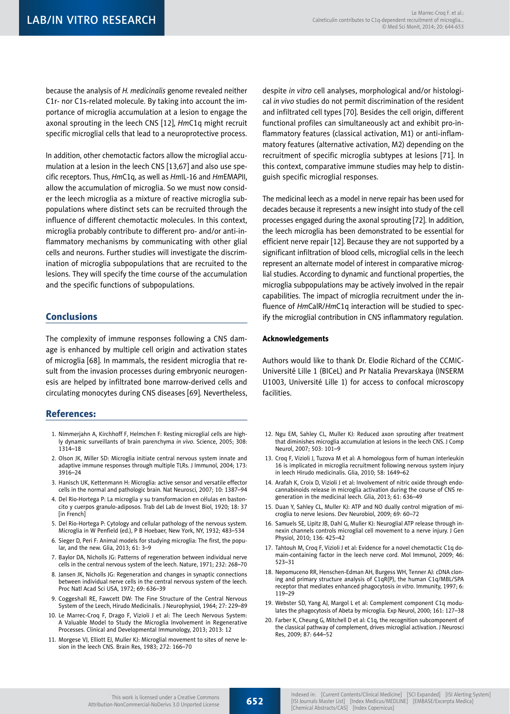because the analysis of *H. medicinalis* genome revealed neither C1r- nor C1s-related molecule. By taking into account the importance of microglia accumulation at a lesion to engage the axonal sprouting in the leech CNS [12], *Hm*C1q might recruit specific microglial cells that lead to a neuroprotective process.

In addition, other chemotactic factors allow the microglial accumulation at a lesion in the leech CNS [13,67] and also use specific receptors. Thus, *Hm*C1q, as well as *Hm*IL-16 and *Hm*EMAPII, allow the accumulation of microglia. So we must now consider the leech microglia as a mixture of reactive microglia subpopulations where distinct sets can be recruited through the influence of different chemotactic molecules. In this context, microglia probably contribute to different pro- and/or anti-inflammatory mechanisms by communicating with other glial cells and neurons. Further studies will investigate the discrimination of microglia subpopulations that are recruited to the lesions. They will specify the time course of the accumulation and the specific functions of subpopulations.

### Conclusions

The complexity of immune responses following a CNS damage is enhanced by multiple cell origin and activation states of microglia [68]. In mammals, the resident microglia that result from the invasion processes during embryonic neurogenesis are helped by infiltrated bone marrow-derived cells and circulating monocytes during CNS diseases [69]. Nevertheless,

### References:

- 1. Nimmerjahn A, Kirchhoff F, Helmchen F: Resting microglial cells are highly dynamic surveillants of brain parenchyma *in vivo*. Science, 2005; 308: 1314–18
- 2. Olson JK, Miller SD: Microglia initiate central nervous system innate and adaptive immune responses through multiple TLRs. J Immunol, 2004; 173: 3916–24
- 3. Hanisch UK, Kettenmann H: Microglia: active sensor and versatile effector cells in the normal and pathologic brain. Nat Neurosci, 2007; 10: 1387–94
- 4. Del Rio-Hortega P: La microglia y su transformacion en células en bastoncito y cuerpos granulo-adiposos. Trab del Lab de Invest Biol, 1920; 18: 37 [in French]
- 5. Del Rio-Hortega P: Cytology and cellular pathology of the nervous system. Microglia in W Penfield (ed.), P B Hoebaer, New York, NY, 1932; 483–534
- 6. Sieger D, Peri F: Animal models for studying microglia: The first, the popular, and the new. Glia, 2013; 61: 3–9
- 7. Baylor DA, Nicholls JG: Patterns of regeneration between individual nerve cells in the central nervous system of the leech. Nature, 1971; 232: 268–70
- 8. Jansen JK, Nicholls JG: Regeneration and changes in synaptic connections between individual nerve cells in the central nervous system of the leech. Proc Natl Acad Sci USA, 1972; 69: 636–39
- 9. Coggeshall RE, Fawcett DW: The Fine Structure of the Central Nervous System of the Leech, Hirudo Medicinalis. J Neurophysiol, 1964; 27: 229–89
- 10. Le Marrec-Croq F, Drago F, Vizioli J et al: The Leech Nervous System: A Valuable Model to Study the Microglia Involvement in Regenerative Processes. Clinical and Developmental Immunology, 2013; 2013: 12
- 11. Morgese VJ, Elliott EJ, Muller KJ: Microglial movement to sites of nerve lesion in the leech CNS. Brain Res, 1983; 272: 166–70

despite *in vitro* cell analyses, morphological and/or histological *in vivo* studies do not permit discrimination of the resident and infiltrated cell types [70]. Besides the cell origin, different functional profiles can simultaneously act and exhibit pro-inflammatory features (classical activation, M1) or anti-inflammatory features (alternative activation, M2) depending on the recruitment of specific microglia subtypes at lesions [71]. In this context, comparative immune studies may help to distinguish specific microglial responses.

The medicinal leech as a model in nerve repair has been used for decades because it represents a new insight into study of the cell processes engaged during the axonal sprouting [72]. In addition, the leech microglia has been demonstrated to be essential for efficient nerve repair [12]. Because they are not supported by a significant infiltration of blood cells, microglial cells in the leech represent an alternate model of interest in comparative microglial studies. According to dynamic and functional properties, the microglia subpopulations may be actively involved in the repair capabilities. The impact of microglia recruitment under the influence of *Hm*CalR/*Hm*C1q interaction will be studied to specify the microglial contribution in CNS inflammatory regulation.

#### Acknowledgements

Authors would like to thank Dr. Elodie Richard of the CCMIC-Université Lille 1 (BICeL) and Pr Natalia Prevarskaya (INSERM U1003, Université Lille 1) for access to confocal microscopy facilities.

- 12. Ngu EM, Sahley CL, Muller KJ: Reduced axon sprouting after treatment that diminishes microglia accumulation at lesions in the leech CNS. J Comp Neurol, 2007; 503: 101–9
- 13. Croq F, Vizioli J, Tuzova M et al: A homologous form of human interleukin 16 is implicated in microglia recruitment following nervous system injury in leech Hirudo medicinalis. Glia, 2010; 58: 1649–62
- 14. Arafah K, Croix D, Vizioli J et al: Involvement of nitric oxide through endocannabinoids release in microglia activation during the course of CNS regeneration in the medicinal leech. Glia, 2013; 61: 636–49
- 15. Duan Y, Sahley CL, Muller KJ: ATP and NO dually control migration of microglia to nerve lesions. Dev Neurobiol, 2009; 69: 60–72
- 16. Samuels SE, Lipitz JB, Dahl G, Muller KJ: Neuroglial ATP release through innexin channels controls microglial cell movement to a nerve injury. J Gen Physiol, 2010; 136: 425–42
- 17. Tahtouh M, Croq F, Vizioli J et al: Evidence for a novel chemotactic C1q domain-containing factor in the leech nerve cord. Mol Immunol, 2009; 46: 523–31
- 18. Nepomuceno RR, Henschen-Edman AH, Burgess WH, Tenner AJ: cDNA cloning and primary structure analysis of C1qR(P), the human C1q/MBL/SPA receptor that mediates enhanced phagocytosis *in vitro*. Immunity, 1997; 6: 119–29
- 19. Webster SD, Yang AJ, Margol L et al: Complement component C1q modulates the phagocytosis of Abeta by microglia. Exp Neurol, 2000; 161: 127–38
- 20. Farber K, Cheung G, Mitchell D et al: C1q, the recognition subcomponent of the classical pathway of complement, drives microglial activation. J Neurosci Res, 2009; 87: 644–52